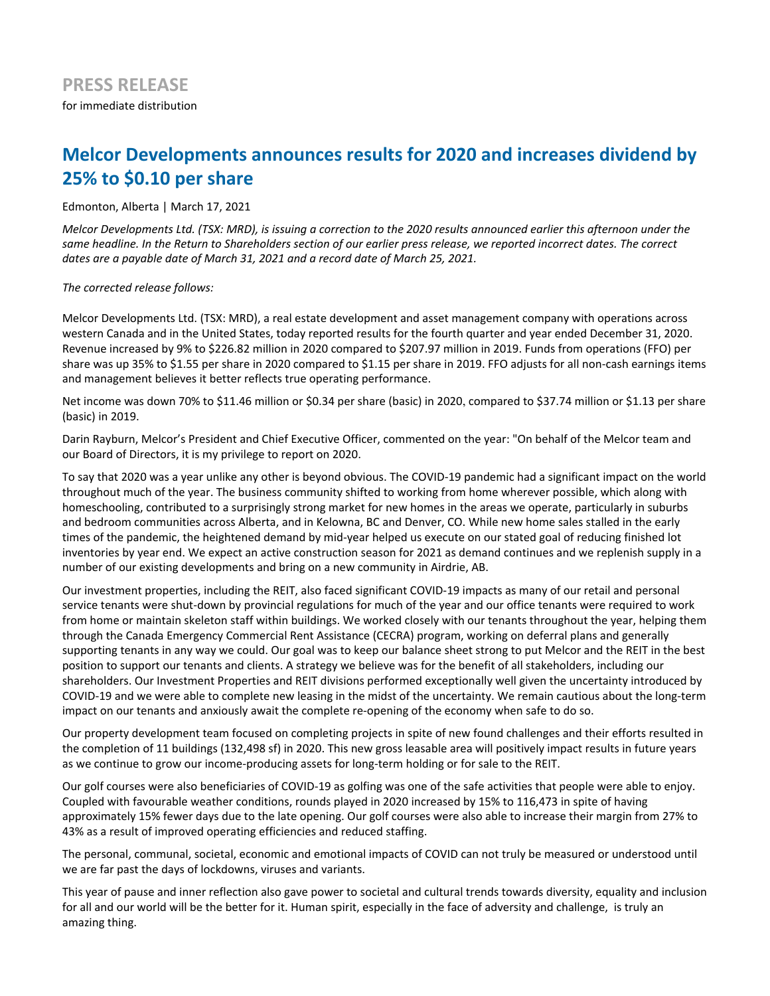# **Melcor Developments announces results for 2020 and increases dividend by 25% to \$0.10 per share**

Edmonton, Alberta | March 17, 2021

*Melcor Developments Ltd. (TSX: MRD), is issuing a correction to the 2020 results announced earlier this afternoon under the* same headline. In the Return to Shareholders section of our earlier press release, we reported incorrect dates. The correct dates are a payable date of March 31, 2021 and a record date of March 25, 2021.

The corrected release follows:

Melcor Developments Ltd. (TSX: MRD), a real estate development and asset management company with operations across western Canada and in the United States, today reported results for the fourth quarter and year ended December 31, 2020. Revenue increased by 9% to \$226.82 million in 2020 compared to \$207.97 million in 2019. Funds from operations (FFO) per share was up 35% to \$1.55 per share in 2020 compared to \$1.15 per share in 2019. FFO adjusts for all non-cash earnings items and management believes it better reflects true operating performance.

Net income was down 70% to \$11.46 million or \$0.34 per share (basic) in 2020, compared to \$37.74 million or \$1.13 per share (basic) in 2019.

Darin Rayburn, Melcor's President and Chief Executive Officer, commented on the year: "On behalf of the Melcor team and our Board of Directors, it is my privilege to report on 2020.

To say that 2020 was a year unlike any other is beyond obvious. The COVID-19 pandemic had a significant impact on the world throughout much of the year. The business community shifted to working from home wherever possible, which along with homeschooling, contributed to a surprisingly strong market for new homes in the areas we operate, particularly in suburbs and bedroom communities across Alberta, and in Kelowna, BC and Denver, CO. While new home sales stalled in the early times of the pandemic, the heightened demand by mid-year helped us execute on our stated goal of reducing finished lot inventories by year end. We expect an active construction season for 2021 as demand continues and we replenish supply in a number of our existing developments and bring on a new community in Airdrie, AB.

Our investment properties, including the REIT, also faced significant COVID-19 impacts as many of our retail and personal service tenants were shut-down by provincial regulations for much of the year and our office tenants were required to work from home or maintain skeleton staff within buildings. We worked closely with our tenants throughout the year, helping them through the Canada Emergency Commercial Rent Assistance (CECRA) program, working on deferral plans and generally supporting tenants in any way we could. Our goal was to keep our balance sheet strong to put Melcor and the REIT in the best position to support our tenants and clients. A strategy we believe was for the benefit of all stakeholders, including our shareholders. Our Investment Properties and REIT divisions performed exceptionally well given the uncertainty introduced by COVID-19 and we were able to complete new leasing in the midst of the uncertainty. We remain cautious about the long-term impact on our tenants and anxiously await the complete re-opening of the economy when safe to do so.

Our property development team focused on completing projects in spite of new found challenges and their efforts resulted in the completion of 11 buildings (132,498 sf) in 2020. This new gross leasable area will positively impact results in future years as we continue to grow our income-producing assets for long-term holding or for sale to the REIT.

Our golf courses were also beneficiaries of COVID-19 as golfing was one of the safe activities that people were able to enjoy. Coupled with favourable weather conditions, rounds played in 2020 increased by 15% to 116,473 in spite of having approximately 15% fewer days due to the late opening. Our golf courses were also able to increase their margin from 27% to 43% as a result of improved operating efficiencies and reduced staffing.

The personal, communal, societal, economic and emotional impacts of COVID can not truly be measured or understood until we are far past the days of lockdowns, viruses and variants.

This year of pause and inner reflection also gave power to societal and cultural trends towards diversity, equality and inclusion for all and our world will be the better for it. Human spirit, especially in the face of adversity and challenge, is truly an amazing thing.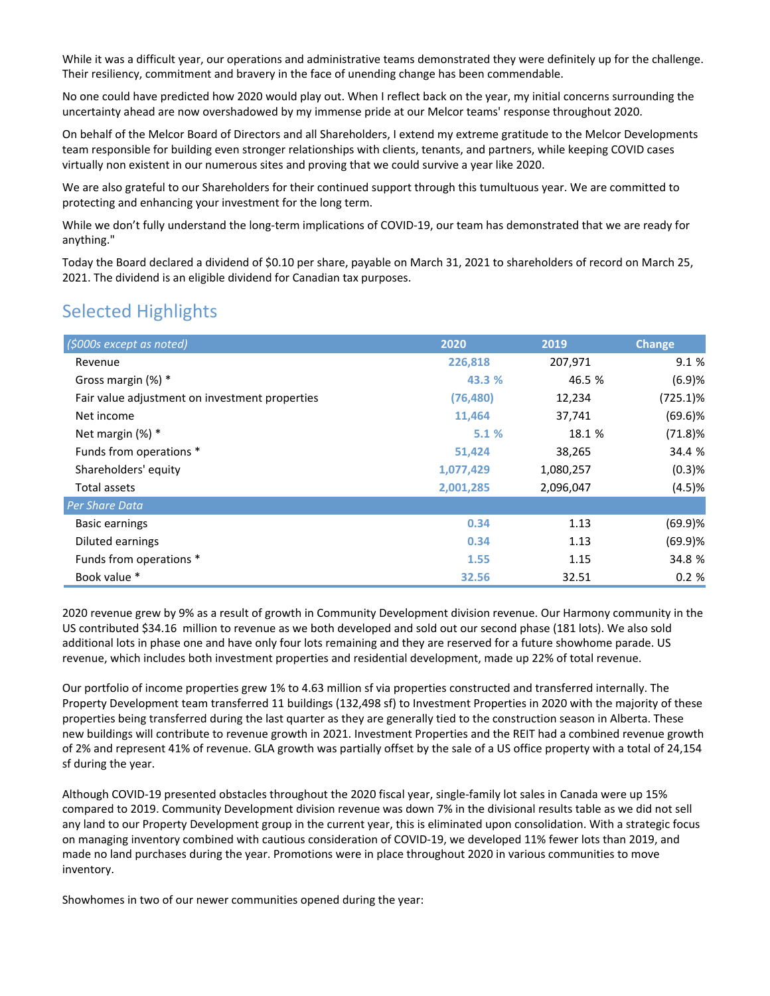While it was a difficult year, our operations and administrative teams demonstrated they were definitely up for the challenge. Their resiliency, commitment and bravery in the face of unending change has been commendable.

No one could have predicted how 2020 would play out. When I reflect back on the year, my initial concerns surrounding the uncertainty ahead are now overshadowed by my immense pride at our Melcor teams' response throughout 2020.

On behalf of the Melcor Board of Directors and all Shareholders, I extend my extreme gratitude to the Melcor Developments team responsible for building even stronger relationships with clients, tenants, and partners, while keeping COVID cases virtually non existent in our numerous sites and proving that we could survive a year like 2020.

We are also grateful to our Shareholders for their continued support through this tumultuous year. We are committed to protecting and enhancing your investment for the long term.

While we don't fully understand the long-term implications of COVID-19, our team has demonstrated that we are ready for anything."

Today the Board declared a dividend of \$0.10 per share, payable on March 31, 2021 to shareholders of record on March 25, 2021. The dividend is an eligible dividend for Canadian tax purposes.

# Selected Highlights

| (\$000s except as noted)                       | 2020      | 2019      | <b>Change</b> |
|------------------------------------------------|-----------|-----------|---------------|
| Revenue                                        | 226,818   | 207,971   | 9.1 %         |
| Gross margin $(\%)$ *                          | 43.3 %    | 46.5 %    | (6.9)%        |
| Fair value adjustment on investment properties | (76, 480) | 12,234    | $(725.1)\%$   |
| Net income                                     | 11,464    | 37,741    | $(69.6)$ %    |
| Net margin $(\%)$ *                            | 5.1%      | 18.1 %    | (71.8)%       |
| Funds from operations *                        | 51,424    | 38,265    | 34.4 %        |
| Shareholders' equity                           | 1,077,429 | 1,080,257 | (0.3)%        |
| Total assets                                   | 2,001,285 | 2,096,047 | (4.5)%        |
| <b>Per Share Data</b>                          |           |           |               |
| <b>Basic earnings</b>                          | 0.34      | 1.13      | (69.9)%       |
| Diluted earnings                               | 0.34      | 1.13      | (69.9)%       |
| Funds from operations *                        | 1.55      | 1.15      | 34.8 %        |
| Book value *                                   | 32.56     | 32.51     | 0.2%          |

2020 revenue grew by 9% as a result of growth in Community Development division revenue. Our Harmony community in the US contributed \$34.16 million to revenue as we both developed and sold out our second phase (181 lots). We also sold additional lots in phase one and have only four lots remaining and they are reserved for a future showhome parade. US revenue, which includes both investment properties and residential development, made up 22% of total revenue.

Our portfolio of income properties grew 1% to 4.63 million sf via properties constructed and transferred internally. The Property Development team transferred 11 buildings (132,498 sf) to Investment Properties in 2020 with the majority of these properties being transferred during the last quarter as they are generally tied to the construction season in Alberta. These new buildings will contribute to revenue growth in 2021. Investment Properties and the REIT had a combined revenue growth of 2% and represent 41% of revenue. GLA growth was partially offset by the sale of a US office property with a total of 24,154 sf during the year.

Although COVID-19 presented obstacles throughout the 2020 fiscal year, single-family lot sales in Canada were up 15% compared to 2019. Community Development division revenue was down 7% in the divisional results table as we did not sell any land to our Property Development group in the current year, this is eliminated upon consolidation. With a strategic focus on managing inventory combined with cautious consideration of COVID-19, we developed 11% fewer lots than 2019, and made no land purchases during the year. Promotions were in place throughout 2020 in various communities to move inventory. 

Showhomes in two of our newer communities opened during the year: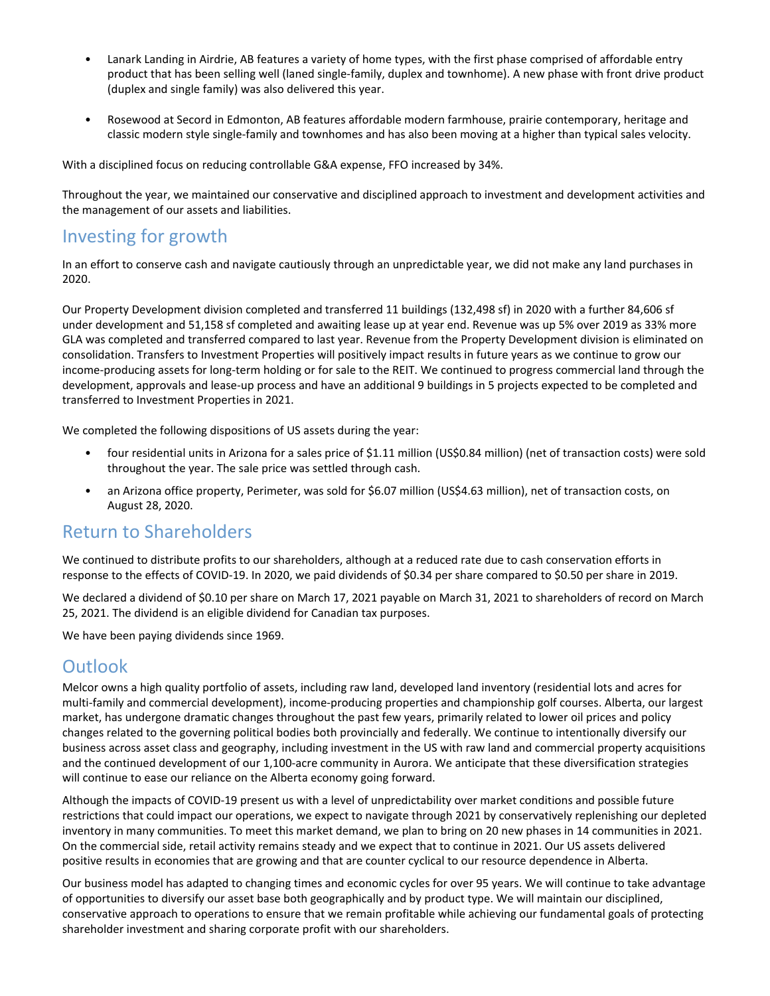- Lanark Landing in Airdrie, AB features a variety of home types, with the first phase comprised of affordable entry product that has been selling well (laned single-family, duplex and townhome). A new phase with front drive product (duplex and single family) was also delivered this year.
- Rosewood at Secord in Edmonton, AB features affordable modern farmhouse, prairie contemporary, heritage and classic modern style single-family and townhomes and has also been moving at a higher than typical sales velocity.

With a disciplined focus on reducing controllable G&A expense, FFO increased by 34%.

Throughout the year, we maintained our conservative and disciplined approach to investment and development activities and the management of our assets and liabilities.

## Investing for growth

In an effort to conserve cash and navigate cautiously through an unpredictable year, we did not make any land purchases in 2020.

Our Property Development division completed and transferred 11 buildings (132,498 sf) in 2020 with a further 84,606 sf under development and 51,158 sf completed and awaiting lease up at year end. Revenue was up 5% over 2019 as 33% more GLA was completed and transferred compared to last year. Revenue from the Property Development division is eliminated on consolidation. Transfers to Investment Properties will positively impact results in future years as we continue to grow our income-producing assets for long-term holding or for sale to the REIT. We continued to progress commercial land through the development, approvals and lease-up process and have an additional 9 buildings in 5 projects expected to be completed and transferred to Investment Properties in 2021.

We completed the following dispositions of US assets during the year:

- four residential units in Arizona for a sales price of \$1.11 million (US\$0.84 million) (net of transaction costs) were sold throughout the year. The sale price was settled through cash.
- an Arizona office property, Perimeter, was sold for \$6.07 million (US\$4.63 million), net of transaction costs, on August 28, 2020.

### **Return to Shareholders**

We continued to distribute profits to our shareholders, although at a reduced rate due to cash conservation efforts in response to the effects of COVID-19. In 2020, we paid dividends of \$0.34 per share compared to \$0.50 per share in 2019.

We declared a dividend of \$0.10 per share on March 17, 2021 payable on March 31, 2021 to shareholders of record on March 25, 2021. The dividend is an eligible dividend for Canadian tax purposes.

We have been paying dividends since 1969.

### **Outlook**

Melcor owns a high quality portfolio of assets, including raw land, developed land inventory (residential lots and acres for multi-family and commercial development), income-producing properties and championship golf courses. Alberta, our largest market, has undergone dramatic changes throughout the past few years, primarily related to lower oil prices and policy changes related to the governing political bodies both provincially and federally. We continue to intentionally diversify our business across asset class and geography, including investment in the US with raw land and commercial property acquisitions and the continued development of our 1,100-acre community in Aurora. We anticipate that these diversification strategies will continue to ease our reliance on the Alberta economy going forward.

Although the impacts of COVID-19 present us with a level of unpredictability over market conditions and possible future restrictions that could impact our operations, we expect to navigate through 2021 by conservatively replenishing our depleted inventory in many communities. To meet this market demand, we plan to bring on 20 new phases in 14 communities in 2021. On the commercial side, retail activity remains steady and we expect that to continue in 2021. Our US assets delivered positive results in economies that are growing and that are counter cyclical to our resource dependence in Alberta.

Our business model has adapted to changing times and economic cycles for over 95 years. We will continue to take advantage of opportunities to diversify our asset base both geographically and by product type. We will maintain our disciplined, conservative approach to operations to ensure that we remain profitable while achieving our fundamental goals of protecting shareholder investment and sharing corporate profit with our shareholders.